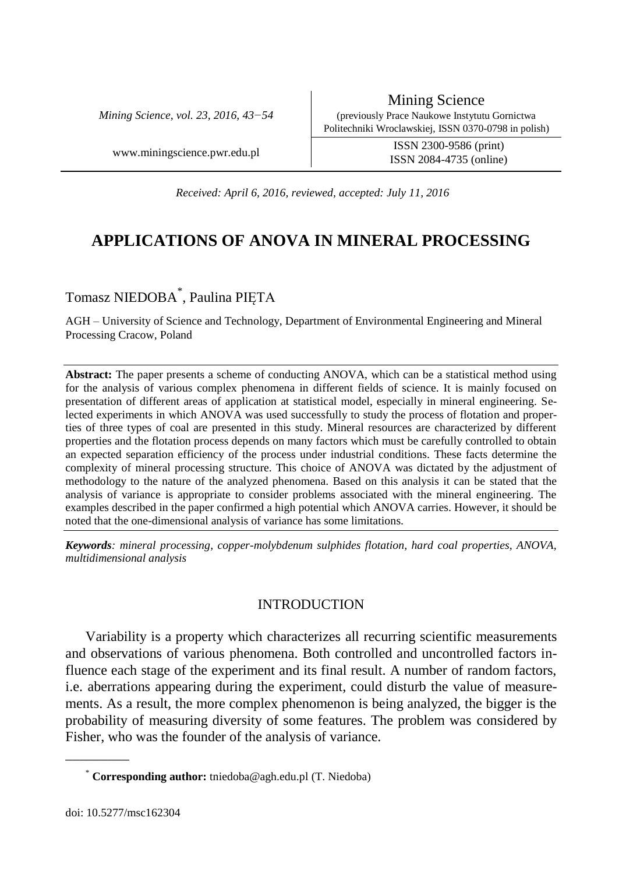*Mining Science, vol. 23, 2016, 43−54*

Mining Science (previously Prace Naukowe Instytutu Gornictwa Politechniki Wroclawskiej, ISSN 0370-0798 in polish)

ISSN 2084-4735 (online)

www.miningscience.pwr.edu.pl ISSN 2300-9586 (print)

*Received: April 6, 2016, reviewed, accepted: July 11, 2016*

# **APPLICATIONS OF ANOVA IN MINERAL PROCESSING**

## Tomasz NIEDOBA\* , Paulina PIĘTA

AGH – University of Science and Technology, Department of Environmental Engineering and Mineral Processing Cracow, Poland

**Abstract:** The paper presents a scheme of conducting ANOVA, which can be a statistical method using for the analysis of various complex phenomena in different fields of science. It is mainly focused on presentation of different areas of application at statistical model, especially in mineral engineering. Selected experiments in which ANOVA was used successfully to study the process of flotation and properties of three types of coal are presented in this study. Mineral resources are characterized by different properties and the flotation process depends on many factors which must be carefully controlled to obtain an expected separation efficiency of the process under industrial conditions. These facts determine the complexity of mineral processing structure. This choice of ANOVA was dictated by the adjustment of methodology to the nature of the analyzed phenomena. Based on this analysis it can be stated that the analysis of variance is appropriate to consider problems associated with the mineral engineering. The examples described in the paper confirmed a high potential which ANOVA carries. However, it should be noted that the one-dimensional analysis of variance has some limitations.

*Keywords: mineral processing, copper-molybdenum sulphides flotation, hard coal properties, ANOVA, multidimensional analysis*

## INTRODUCTION

Variability is a property which characterizes all recurring scientific measurements and observations of various phenomena. Both controlled and uncontrolled factors influence each stage of the experiment and its final result. A number of random factors, i.e. aberrations appearing during the experiment, could disturb the value of measurements. As a result, the more complex phenomenon is being analyzed, the bigger is the probability of measuring diversity of some features. The problem was considered by Fisher, who was the founder of the analysis of variance.

\_\_\_\_\_\_\_\_\_

<sup>\*</sup> **Corresponding author:** tniedoba@agh.edu.pl (T. Niedoba)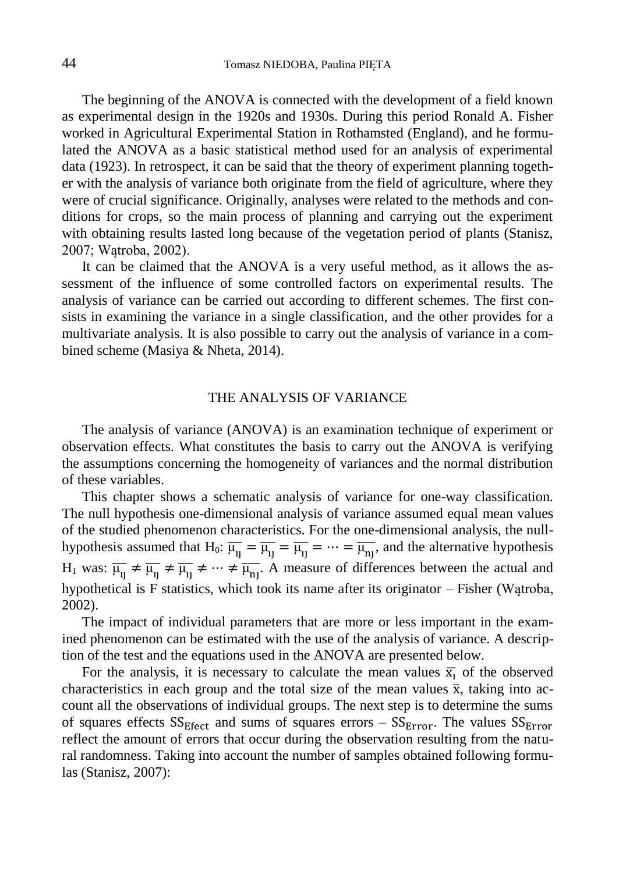The beginning of the ANOVA is connected with the development of a field known as experimental design in the 1920s and 1930s. During this period Ronald A. Fisher worked in Agricultural Experimental Station in Rothamsted (England), and he formulated the ANOVA as a basic statistical method used for an analysis of experimental data (1923). In retrospect, it can be said that the theory of experiment planning together with the analysis of variance both originate from the field of agriculture, where they were of crucial significance. Originally, analyses were related to the methods and conditions for crops, so the main process of planning and carrying out the experiment with obtaining results lasted long because of the vegetation period of plants (Stanisz, 2007; Wątroba, 2002).

It can be claimed that the ANOVA is a very useful method, as it allows the assessment of the influence of some controlled factors on experimental results. The analysis of variance can be carried out according to different schemes. The first consists in examining the variance in a single classification, and the other provides for a multivariate analysis. It is also possible to carry out the analysis of variance in a combined scheme (Masiya & Nheta, 2014).

## THE ANALYSIS OF VARIANCE

The analysis of variance (ANOVA) is an examination technique of experiment or observation effects. What constitutes the basis to carry out the ANOVA is verifying the assumptions concerning the homogeneity of variances and the normal distribution of these variables.

This chapter shows a schematic analysis of variance for one-way classification. The null hypothesis one-dimensional analysis of variance assumed equal mean values of the studied phenomenon characteristics. For the one-dimensional analysis, the nullhypothesis assumed that H<sub>0</sub>:  $\overline{\mu_{1j}} = \overline{\mu_{1j}} = \overline{\mu_{1j}} = \cdots = \overline{\mu_{nj}}$ , and the alternative hypothesis  $H_1$  was:  $\overline{\mu_{1j}} \neq \overline{\mu_{1j}} \neq \cdots \neq \overline{\mu_{nj}}$ . A measure of differences between the actual and hypothetical is F statistics, which took its name after its originator – Fisher (Wątroba, 2002).

The impact of individual parameters that are more or less important in the examined phenomenon can be estimated with the use of the analysis of variance. A description of the test and the equations used in the ANOVA are presented below.

For the analysis, it is necessary to calculate the mean values  $\bar{x}_i$  of the observed characteristics in each group and the total size of the mean values  $\bar{x}$ , taking into account all the observations of individual groups. The next step is to determine the sums of squares effects  $SS_{Effect}$  and sums of squares errors –  $SS_{Error}$ . The values  $SS_{Error}$ reflect the amount of errors that occur during the observation resulting from the natural randomness. Taking into account the number of samples obtained following formulas (Stanisz, 2007):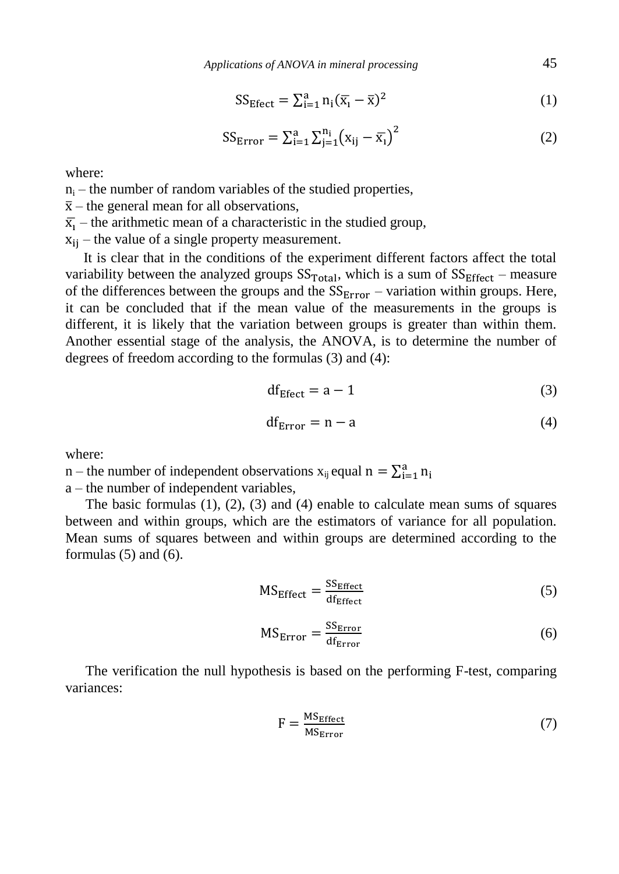$$
SS_{Effect} = \sum_{i=1}^{a} n_i (\overline{x}_i - \overline{x})^2
$$
 (1)

$$
SS_{Error} = \sum_{i=1}^{a} \sum_{j=1}^{n_i} (x_{ij} - \bar{x}_i)^2
$$
 (2)

where:

 $n_i$  – the number of random variables of the studied properties,

 $\bar{x}$  – the general mean for all observations,

 $\bar{x}_i$  – the arithmetic mean of a characteristic in the studied group,

 $x_{ii}$  – the value of a single property measurement.

It is clear that in the conditions of the experiment different factors affect the total variability between the analyzed groups  $SS_{Total}$ , which is a sum of  $SS_{Effect}$  – measure of the differences between the groups and the  $SS<sub>Error</sub>$  – variation within groups. Here, it can be concluded that if the mean value of the measurements in the groups is different, it is likely that the variation between groups is greater than within them. Another essential stage of the analysis, the ANOVA, is to determine the number of degrees of freedom according to the formulas (3) and (4):

$$
df_{Effect} = a - 1 \tag{3}
$$

$$
df_{Error} = n - a \tag{4}
$$

where:

n – the number of independent observations  $x_{ij}$  equal  $n = \sum_{i=1}^{a} n_i$ 

a – the number of independent variables,

The basic formulas (1), (2), (3) and (4) enable to calculate mean sums of squares between and within groups, which are the estimators of variance for all population. Mean sums of squares between and within groups are determined according to the formulas  $(5)$  and  $(6)$ .

$$
MS_{Effect} = \frac{SS_{Effect}}{df_{Effect}} \tag{5}
$$

$$
MS_{Error} = \frac{SS_{Error}}{df_{Error}} \tag{6}
$$

The verification the null hypothesis is based on the performing F-test, comparing variances:

$$
F = \frac{MS_{Effect}}{MS_{Error}} \tag{7}
$$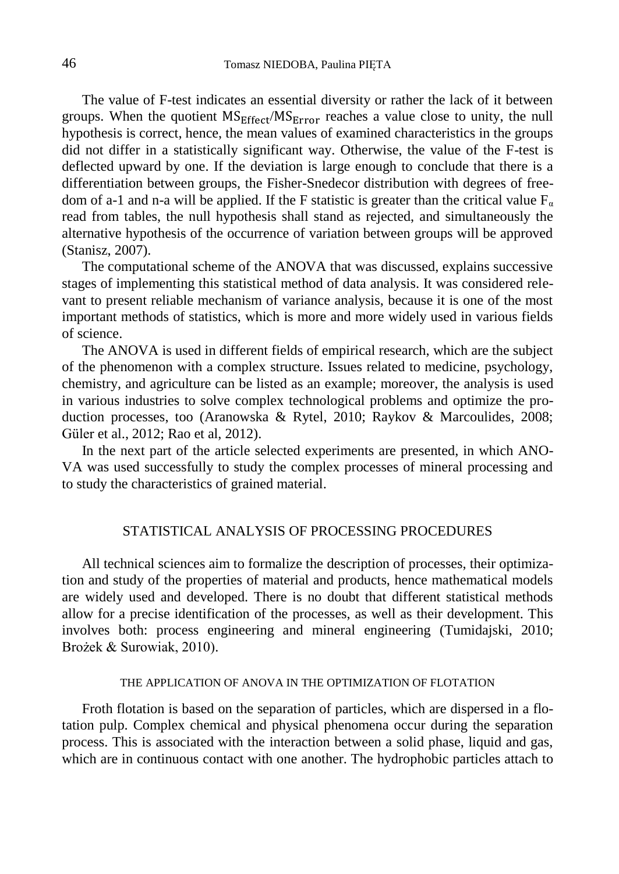The value of F-test indicates an essential diversity or rather the lack of it between groups. When the quotient  $MS_{Effect}/MS_{Error}$  reaches a value close to unity, the null hypothesis is correct, hence, the mean values of examined characteristics in the groups did not differ in a statistically significant way. Otherwise, the value of the F-test is deflected upward by one. If the deviation is large enough to conclude that there is a differentiation between groups, the Fisher-Snedecor distribution with degrees of freedom of a-1 and n-a will be applied. If the F statistic is greater than the critical value  $F_a$ read from tables, the null hypothesis shall stand as rejected, and simultaneously the alternative hypothesis of the occurrence of variation between groups will be approved (Stanisz, 2007).

The computational scheme of the ANOVA that was discussed, explains successive stages of implementing this statistical method of data analysis. It was considered relevant to present reliable mechanism of variance analysis, because it is one of the most important methods of statistics, which is more and more widely used in various fields of science.

The ANOVA is used in different fields of empirical research, which are the subject of the phenomenon with a complex structure. Issues related to medicine, psychology, chemistry, and agriculture can be listed as an example; moreover, the analysis is used in various industries to solve complex technological problems and optimize the production processes, too (Aranowska & Rytel, 2010; Raykov & Marcoulides, 2008; Güler et al., 2012; Rao et al, 2012).

In the next part of the article selected experiments are presented, in which ANO-VA was used successfully to study the complex processes of mineral processing and to study the characteristics of grained material.

## STATISTICAL ANALYSIS OF PROCESSING PROCEDURES

All technical sciences aim to formalize the description of processes, their optimization and study of the properties of material and products, hence mathematical models are widely used and developed. There is no doubt that different statistical methods allow for a precise identification of the processes, as well as their development. This involves both: process engineering and mineral engineering (Tumidajski, 2010; Brożek & Surowiak, 2010).

### THE APPLICATION OF ANOVA IN THE OPTIMIZATION OF FLOTATION

Froth flotation is based on the separation of particles, which are dispersed in a flotation pulp. Complex chemical and physical phenomena occur during the separation process. This is associated with the interaction between a solid phase, liquid and gas, which are in continuous contact with one another. The hydrophobic particles attach to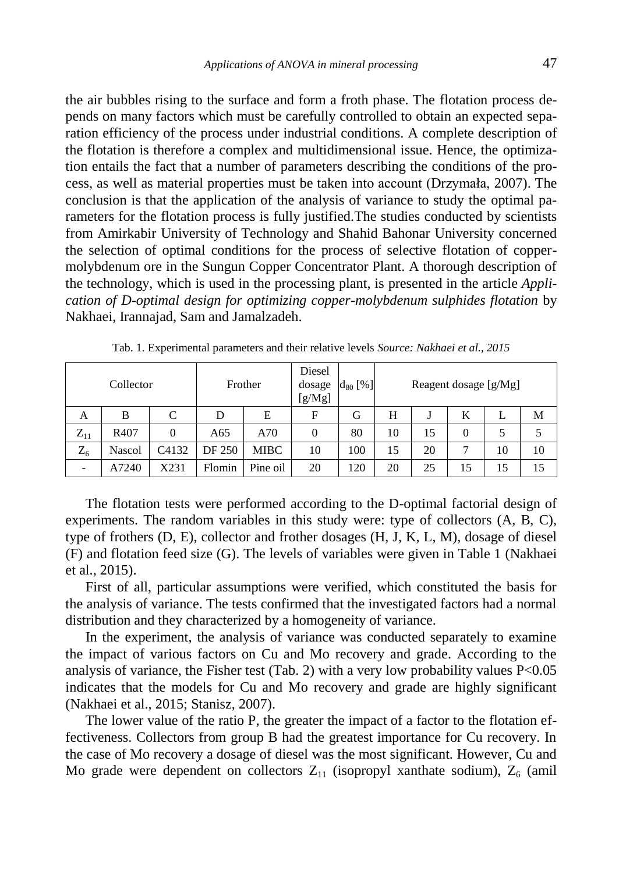the air bubbles rising to the surface and form a froth phase. The flotation process depends on many factors which must be carefully controlled to obtain an expected separation efficiency of the process under industrial conditions. A complete description of the flotation is therefore a complex and multidimensional issue. Hence, the optimization entails the fact that a number of parameters describing the conditions of the process, as well as material properties must be taken into account (Drzymała, 2007). The conclusion is that the application of the analysis of variance to study the optimal parameters for the flotation process is fully justified.The studies conducted by scientists from Amirkabir University of Technology and Shahid Bahonar University concerned the selection of optimal conditions for the process of selective flotation of coppermolybdenum ore in the Sungun Copper Concentrator Plant. A thorough description of the technology, which is used in the processing plant, is presented in the article *Application of D-optimal design for optimizing copper-molybdenum sulphides flotation* by Nakhaei, Irannajad, Sam and Jamalzadeh.

| Collector |                  |       | Frother |             | Diesel<br>dosage<br>[g/Mg] | $d_{80}$ [%] | Reagent dosage $[g/Mg]$ |    |          |    |    |
|-----------|------------------|-------|---------|-------------|----------------------------|--------------|-------------------------|----|----------|----|----|
| А         | B                | C     | D       | Е           | F                          | G            | Н                       |    | К        | L  | M  |
| $Z_{11}$  | R <sub>407</sub> | 0     | A65     | A70         | 0                          | 80           | 10                      | 15 | $\theta$ | 5  |    |
| $Z_6$     | Nascol           | C4132 | DF 250  | <b>MIBC</b> | 10                         | 100          | 15                      | 20 |          | 10 | 10 |
|           | A7240            | X231  | Flomin  | Pine oil    | 20                         | 120          | 20                      | 25 | 15       | 15 | 15 |

Tab. 1. Experimental parameters and their relative levels *Source: Nakhaei et al., 2015*

The flotation tests were performed according to the D-optimal factorial design of experiments. The random variables in this study were: type of collectors (A, B, C), type of frothers (D, E), collector and frother dosages (H, J, K, L, M), dosage of diesel (F) and flotation feed size (G). The levels of variables were given in Table 1 (Nakhaei et al., 2015).

First of all, particular assumptions were verified, which constituted the basis for the analysis of variance. The tests confirmed that the investigated factors had a normal distribution and they characterized by a homogeneity of variance.

In the experiment, the analysis of variance was conducted separately to examine the impact of various factors on Cu and Mo recovery and grade. According to the analysis of variance, the Fisher test (Tab. 2) with a very low probability values  $P<0.05$ indicates that the models for Cu and Mo recovery and grade are highly significant (Nakhaei et al., 2015; Stanisz, 2007).

The lower value of the ratio P, the greater the impact of a factor to the flotation effectiveness. Collectors from group B had the greatest importance for Cu recovery. In the case of Mo recovery a dosage of diesel was the most significant. However, Cu and Mo grade were dependent on collectors  $Z_{11}$  (isopropyl xanthate sodium),  $Z_6$  (amil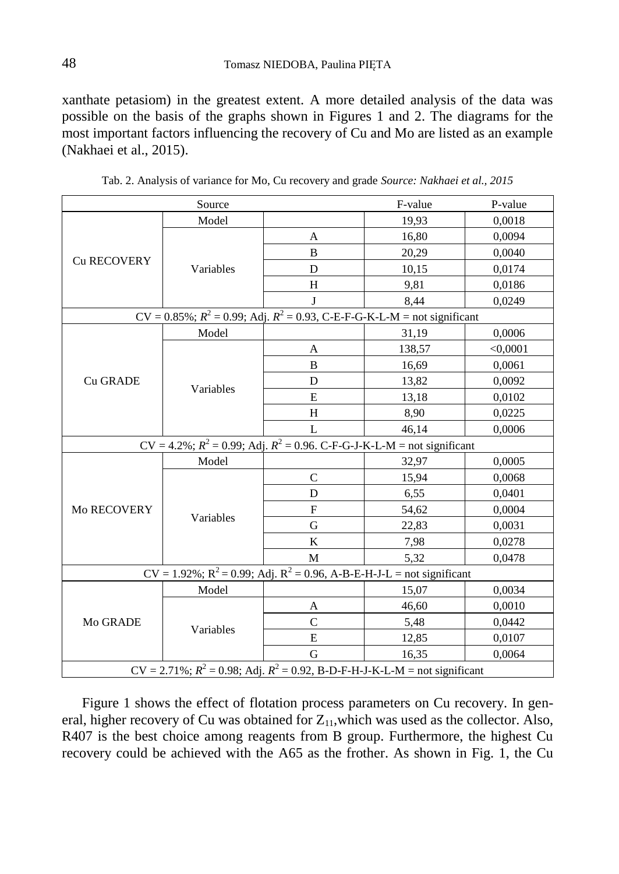xanthate petasiom) in the greatest extent. A more detailed analysis of the data was possible on the basis of the graphs shown in Figures 1 and 2. The diagrams for the most important factors influencing the recovery of Cu and Mo are listed as an example (Nakhaei et al., 2015).

|                                                                                   | Source                                                                                            | F-value      | P-value |          |  |  |  |  |
|-----------------------------------------------------------------------------------|---------------------------------------------------------------------------------------------------|--------------|---------|----------|--|--|--|--|
|                                                                                   | Model                                                                                             |              | 19,93   | 0,0018   |  |  |  |  |
|                                                                                   |                                                                                                   | A            | 16,80   | 0,0094   |  |  |  |  |
|                                                                                   |                                                                                                   | B            | 20,29   | 0,0040   |  |  |  |  |
| Cu RECOVERY                                                                       | Variables                                                                                         | D            | 10,15   | 0,0174   |  |  |  |  |
|                                                                                   |                                                                                                   | H            | 9,81    | 0,0186   |  |  |  |  |
|                                                                                   |                                                                                                   | J            | 8,44    | 0,0249   |  |  |  |  |
|                                                                                   | $CV = 0.85\%; R^2 = 0.99; \text{Adj. } R^2 = 0.93, \text{C-E-F-G-K-L-M} = \text{not significant}$ |              |         |          |  |  |  |  |
|                                                                                   | Model                                                                                             |              | 31,19   | 0,0006   |  |  |  |  |
|                                                                                   | Variables                                                                                         | A            | 138,57  | < 0.0001 |  |  |  |  |
|                                                                                   |                                                                                                   | B            | 16,69   | 0,0061   |  |  |  |  |
| <b>Cu GRADE</b>                                                                   |                                                                                                   | D            | 13,82   | 0,0092   |  |  |  |  |
|                                                                                   |                                                                                                   | E            | 13,18   | 0,0102   |  |  |  |  |
|                                                                                   |                                                                                                   | Н            | 8,90    | 0,0225   |  |  |  |  |
|                                                                                   |                                                                                                   | L            | 46,14   | 0,0006   |  |  |  |  |
| $CV = 4.2\%$ ; $R^2 = 0.99$ ; Adj. $R^2 = 0.96$ . C-F-G-J-K-L-M = not significant |                                                                                                   |              |         |          |  |  |  |  |
|                                                                                   | Model                                                                                             |              | 32,97   | 0,0005   |  |  |  |  |
|                                                                                   |                                                                                                   | $\mathsf{C}$ | 15,94   | 0,0068   |  |  |  |  |
|                                                                                   | Variables                                                                                         | D            | 6,55    | 0,0401   |  |  |  |  |
| <b>Mo RECOVERY</b>                                                                |                                                                                                   | F            | 54,62   | 0,0004   |  |  |  |  |
|                                                                                   |                                                                                                   | G            | 22,83   | 0,0031   |  |  |  |  |
|                                                                                   |                                                                                                   | K            | 7,98    | 0,0278   |  |  |  |  |
|                                                                                   |                                                                                                   | M            | 5,32    | 0,0478   |  |  |  |  |
| $CV = 1.92\%; R^2 = 0.99$ ; Adj. $R^2 = 0.96$ , A-B-E-H-J-L = not significant     |                                                                                                   |              |         |          |  |  |  |  |
|                                                                                   | Model                                                                                             |              | 15,07   | 0,0034   |  |  |  |  |
|                                                                                   | Variables                                                                                         | A            | 46,60   | 0,0010   |  |  |  |  |
| Mo GRADE                                                                          |                                                                                                   | C            | 5,48    | 0,0442   |  |  |  |  |
|                                                                                   |                                                                                                   | E            | 12,85   | 0,0107   |  |  |  |  |
|                                                                                   |                                                                                                   | G            | 16,35   | 0,0064   |  |  |  |  |
| $CV = 2.71\%; R^2 = 0.98; Adj. R^2 = 0.92$ , B-D-F-H-J-K-L-M = not significant    |                                                                                                   |              |         |          |  |  |  |  |

Tab. 2. Analysis of variance for Mo, Cu recovery and grade *Source: Nakhaei et al., 2015*

Figure 1 shows the effect of flotation process parameters on Cu recovery. In general, higher recovery of Cu was obtained for  $Z_{11}$ , which was used as the collector. Also, R407 is the best choice among reagents from B group. Furthermore, the highest Cu recovery could be achieved with the A65 as the frother. As shown in Fig. 1, the Cu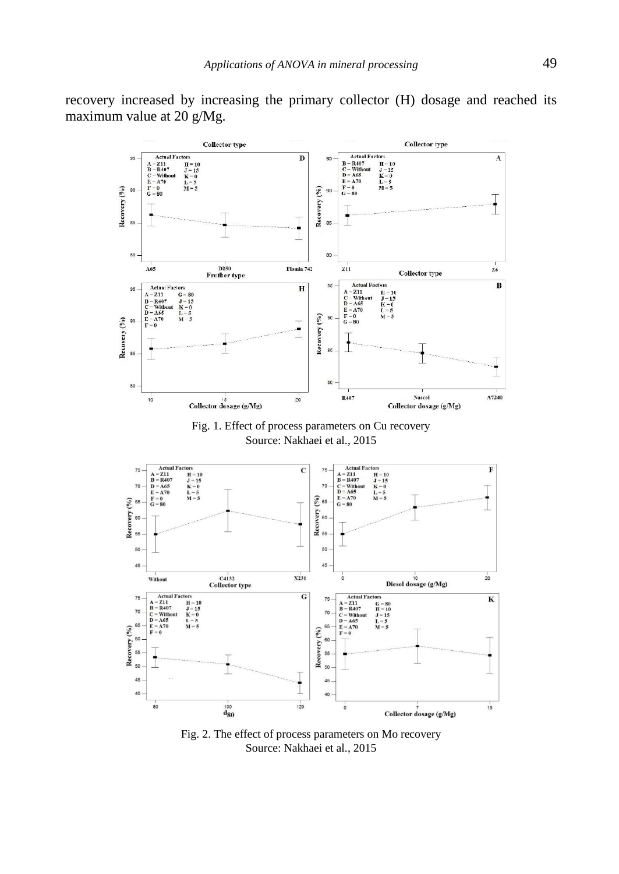recovery increased by increasing the primary collector (H) dosage and reached its maximum value at 20 g/Mg.



Fig. 1. Effect of process parameters on Cu recovery Source: Nakhaei et al., 2015



Fig. 2. The effect of process parameters on Mo recovery Source: Nakhaei et al., 2015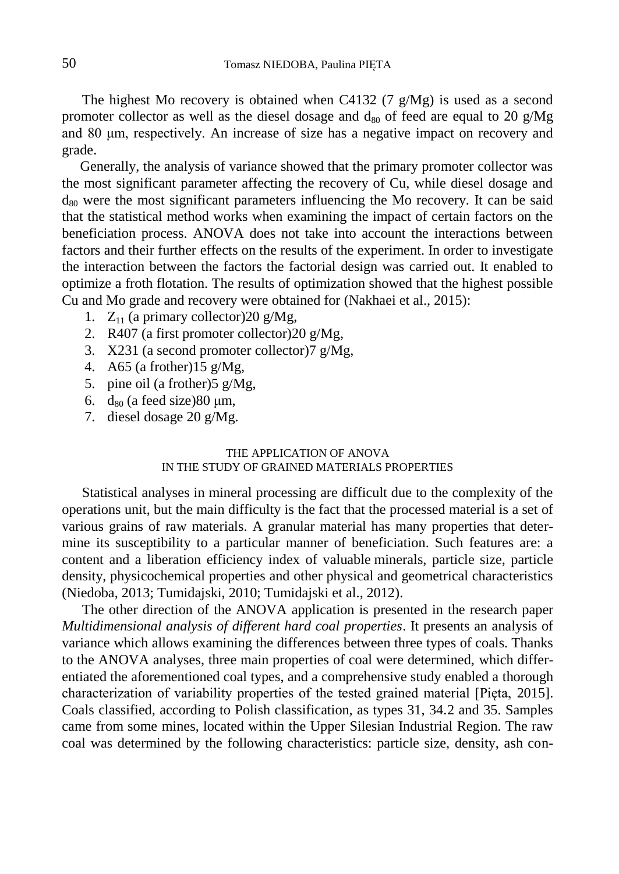The highest Mo recovery is obtained when C4132 (7 g/Mg) is used as a second promoter collector as well as the diesel dosage and  $d_{80}$  of feed are equal to 20 g/Mg and 80 μm, respectively. An increase of size has a negative impact on recovery and grade.

Generally, the analysis of variance showed that the primary promoter collector was the most significant parameter affecting the recovery of Cu, while diesel dosage and  $d_{80}$  were the most significant parameters influencing the Mo recovery. It can be said that the statistical method works when examining the impact of certain factors on the beneficiation process. ANOVA does not take into account the interactions between factors and their further effects on the results of the experiment. In order to investigate the interaction between the factors the factorial design was carried out. It enabled to optimize a froth flotation. The results of optimization showed that the highest possible Cu and Mo grade and recovery were obtained for (Nakhaei et al., 2015):

- 1.  $Z_{11}$  (a primary collector) 20 g/Mg,
- 2. R407 (a first promoter collector)20 g/Mg,
- 3. X231 (a second promoter collector)7 g/Mg,
- 4. A65 (a frother) $15 \text{ g}/\text{Mg}$ ,
- 5. pine oil (a frother)5 g/Mg,
- 6.  $d_{80}$  (a feed size)80  $\mu$ m,
- 7. diesel dosage 20 g/Mg.

#### THE APPLICATION OF ANOVA IN THE STUDY OF GRAINED MATERIALS PROPERTIES

Statistical analyses in mineral processing are difficult due to the complexity of the operations unit, but the main difficulty is the fact that the processed material is a set of various grains of raw materials. A granular material has many properties that determine its susceptibility to a particular manner of beneficiation. Such features are: a content and a liberation efficiency index of valuable minerals, particle size, particle density, physicochemical properties and other physical and geometrical characteristics (Niedoba, 2013; Tumidajski, 2010; Tumidajski et al., 2012).

The other direction of the ANOVA application is presented in the research paper *Multidimensional analysis of different hard coal properties*. It presents an analysis of variance which allows examining the differences between three types of coals. Thanks to the ANOVA analyses, three main properties of coal were determined, which differentiated the aforementioned coal types, and a comprehensive study enabled a thorough characterization of variability properties of the tested grained material [Pięta, 2015]. Coals classified, according to Polish classification, as types 31, 34.2 and 35. Samples came from some mines, located within the Upper Silesian Industrial Region. The raw coal was determined by the following characteristics: particle size, density, ash con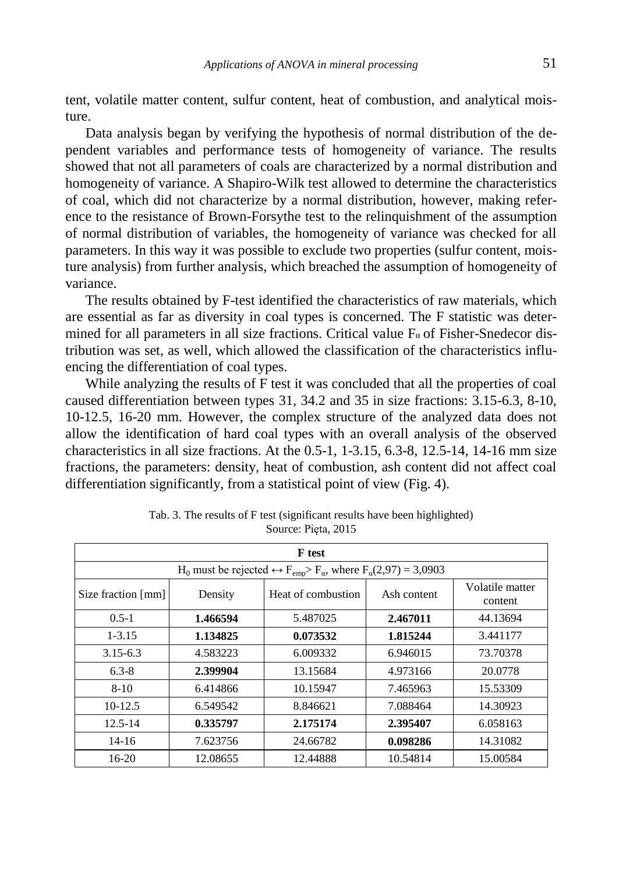tent, volatile matter content, sulfur content, heat of combustion, and analytical moisture.

Data analysis began by verifying the hypothesis of normal distribution of the dependent variables and performance tests of homogeneity of variance. The results showed that not all parameters of coals are characterized by a normal distribution and homogeneity of variance. A Shapiro-Wilk test allowed to determine the characteristics of coal, which did not characterize by a normal distribution, however, making reference to the resistance of Brown-Forsythe test to the relinquishment of the assumption of normal distribution of variables, the homogeneity of variance was checked for all parameters. In this way it was possible to exclude two properties (sulfur content, moisture analysis) from further analysis, which breached the assumption of homogeneity of variance.

The results obtained by F-test identified the characteristics of raw materials, which are essential as far as diversity in coal types is concerned. The F statistic was determined for all parameters in all size fractions. Critical value  $F_\alpha$  of Fisher-Snedecor distribution was set, as well, which allowed the classification of the characteristics influencing the differentiation of coal types.

While analyzing the results of F test it was concluded that all the properties of coal caused differentiation between types 31, 34.2 and 35 in size fractions: 3.15-6.3, 8-10, 10-12.5, 16-20 mm. However, the complex structure of the analyzed data does not allow the identification of hard coal types with an overall analysis of the observed characteristics in all size fractions. At the 0.5-1, 1-3.15, 6.3-8, 12.5-14, 14-16 mm size fractions, the parameters: density, heat of combustion, ash content did not affect coal differentiation significantly, from a statistical point of view (Fig. 4).

| <b>F</b> test                                                                                                     |                                  |                    |             |                            |  |  |  |  |
|-------------------------------------------------------------------------------------------------------------------|----------------------------------|--------------------|-------------|----------------------------|--|--|--|--|
| $H_0$ must be rejected $\leftrightarrow$ F <sub>emp</sub> > F <sub>α</sub> , where F <sub>α</sub> (2,97) = 3,0903 |                                  |                    |             |                            |  |  |  |  |
| Size fraction [mm]                                                                                                | Density                          | Heat of combustion | Ash content | Volatile matter<br>content |  |  |  |  |
| $0.5 - 1$                                                                                                         | 1.466594<br>2.467011<br>5.487025 |                    | 44.13694    |                            |  |  |  |  |
| $1 - 3.15$                                                                                                        | 1.134825                         | 0.073532           | 1.815244    | 3.441177                   |  |  |  |  |
| $3.15 - 6.3$                                                                                                      | 4.583223                         | 6.009332           | 6.946015    | 73.70378                   |  |  |  |  |
| $6.3 - 8$                                                                                                         | 2.399904                         | 13.15684           | 4.973166    | 20.0778                    |  |  |  |  |
| $8-10$                                                                                                            | 6.414866                         | 10.15947           | 7.465963    | 15.53309                   |  |  |  |  |
| $10-12.5$                                                                                                         | 6.549542                         | 8.846621           | 7.088464    | 14.30923                   |  |  |  |  |
| $12.5 - 14$                                                                                                       | 0.335797                         | 2.175174           | 2.395407    | 6.058163                   |  |  |  |  |
| $14-16$                                                                                                           | 7.623756                         | 24.66782           | 0.098286    | 14.31082                   |  |  |  |  |
| 16-20                                                                                                             | 12.08655                         | 12.44888           | 10.54814    | 15.00584                   |  |  |  |  |

Tab. 3. The results of F test (significant results have been highlighted) Source: Pięta, 2015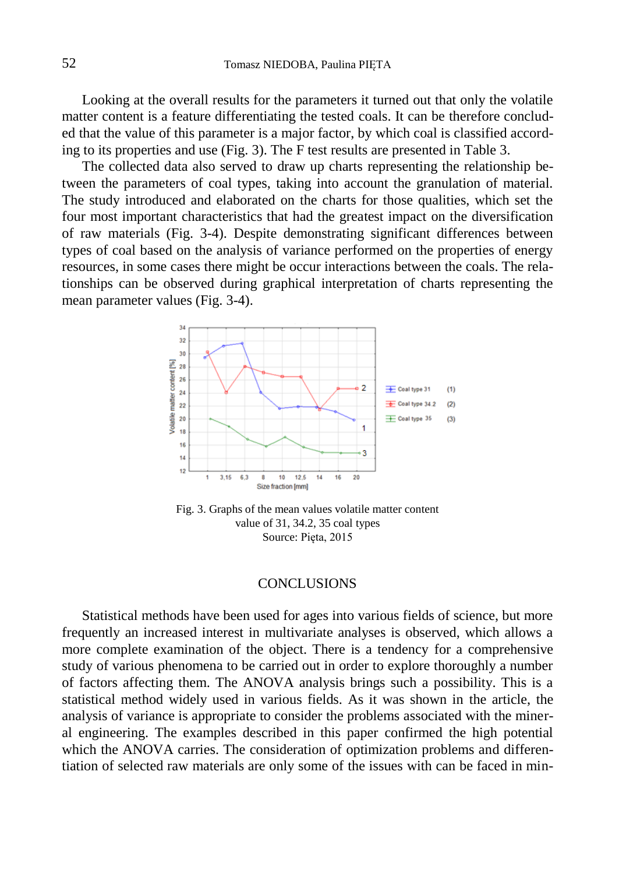Looking at the overall results for the parameters it turned out that only the volatile matter content is a feature differentiating the tested coals. It can be therefore concluded that the value of this parameter is a major factor, by which coal is classified according to its properties and use (Fig. 3). The F test results are presented in Table 3.

The collected data also served to draw up charts representing the relationship between the parameters of coal types, taking into account the granulation of material. The study introduced and elaborated on the charts for those qualities, which set the four most important characteristics that had the greatest impact on the diversification of raw materials (Fig. 3-4). Despite demonstrating significant differences between types of coal based on the analysis of variance performed on the properties of energy resources, in some cases there might be occur interactions between the coals. The relationships can be observed during graphical interpretation of charts representing the mean parameter values (Fig. 3-4).



Fig. 3. Graphs of the mean values volatile matter content value of 31, 34.2, 35 coal types Source: Pięta, 2015

### **CONCLUSIONS**

Statistical methods have been used for ages into various fields of science, but more frequently an increased interest in multivariate analyses is observed, which allows a more complete examination of the object. There is a tendency for a comprehensive study of various phenomena to be carried out in order to explore thoroughly a number of factors affecting them. The ANOVA analysis brings such a possibility. This is a statistical method widely used in various fields. As it was shown in the article, the analysis of variance is appropriate to consider the problems associated with the mineral engineering. The examples described in this paper confirmed the high potential which the ANOVA carries. The consideration of optimization problems and differentiation of selected raw materials are only some of the issues with can be faced in min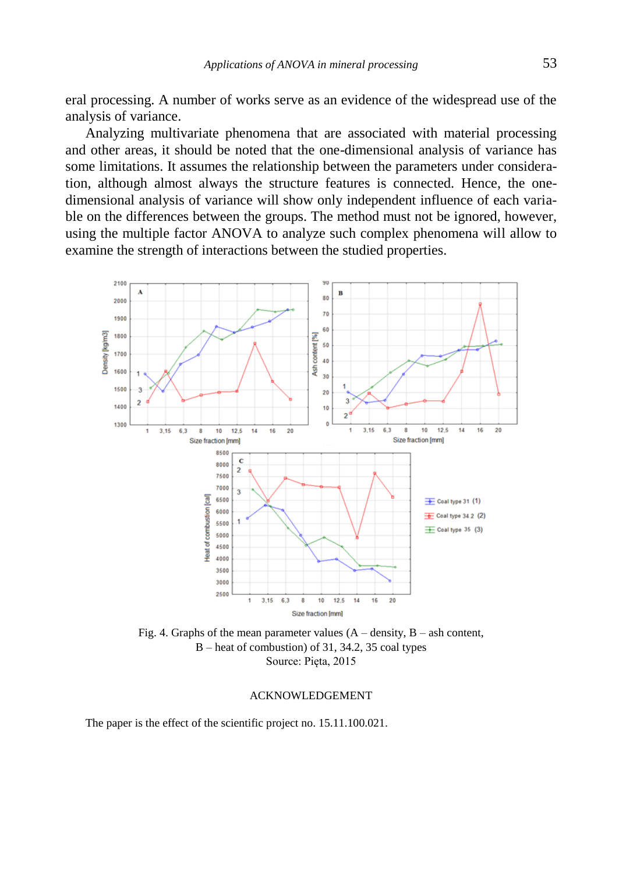eral processing. A number of works serve as an evidence of the widespread use of the analysis of variance.

Analyzing multivariate phenomena that are associated with material processing and other areas, it should be noted that the one-dimensional analysis of variance has some limitations. It assumes the relationship between the parameters under consideration, although almost always the structure features is connected. Hence, the onedimensional analysis of variance will show only independent influence of each variable on the differences between the groups. The method must not be ignored, however, using the multiple factor ANOVA to analyze such complex phenomena will allow to examine the strength of interactions between the studied properties.



B – heat of combustion) of 31, 34.2, 35 coal types Source: Pięta, 2015

#### ACKNOWLEDGEMENT

The paper is the effect of the scientific project no. 15.11.100.021.